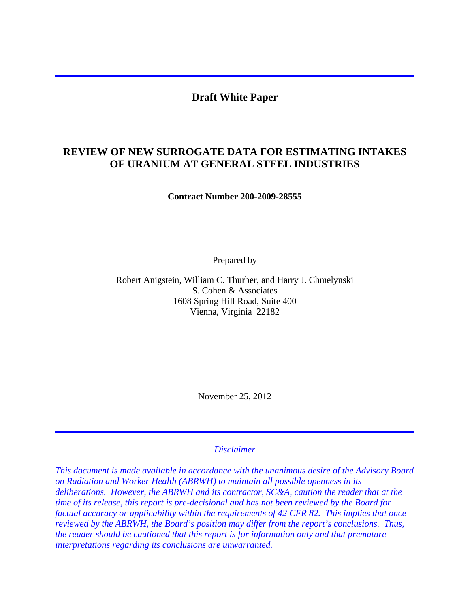### **Draft White Paper**

# **REVIEW OF NEW SURROGATE DATA FOR ESTIMATING INTAKES OF URANIUM AT GENERAL STEEL INDUSTRIES**

**Contract Number 200-2009-28555** 

Prepared by

Robert Anigstein, William C. Thurber, and Harry J. Chmelynski S. Cohen & Associates 1608 Spring Hill Road, Suite 400 Vienna, Virginia 22182

November 25, 2012

# *Disclaimer*

*This document is made available in accordance with the unanimous desire of the Advisory Board on Radiation and Worker Health (ABRWH) to maintain all possible openness in its deliberations. However, the ABRWH and its contractor, SC&A, caution the reader that at the time of its release, this report is pre-decisional and has not been reviewed by the Board for factual accuracy or applicability within the requirements of 42 CFR 82. This implies that once reviewed by the ABRWH, the Board's position may differ from the report's conclusions. Thus, the reader should be cautioned that this report is for information only and that premature interpretations regarding its conclusions are unwarranted.*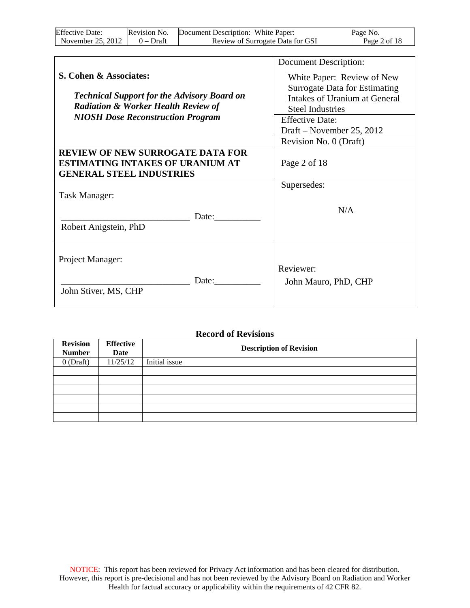| <b>Effective Date:</b> | Revision No. | Document Description: White Paper: | Page No.     |
|------------------------|--------------|------------------------------------|--------------|
| November 25, 2012      | $0 - Dr$ aft | Review of Surrogate Data for GSI   | Page 2 of 18 |

|                                                                                            | Document Description:                |
|--------------------------------------------------------------------------------------------|--------------------------------------|
| S. Cohen & Associates:                                                                     | White Paper: Review of New           |
|                                                                                            | <b>Surrogate Data for Estimating</b> |
| <b>Technical Support for the Advisory Board on</b>                                         | Intakes of Uranium at General        |
| <b>Radiation &amp; Worker Health Review of</b><br><b>NIOSH Dose Reconstruction Program</b> | <b>Steel Industries</b>              |
|                                                                                            | <b>Effective Date:</b>               |
|                                                                                            | Draft – November 25, 2012            |
|                                                                                            | Revision No. 0 (Draft)               |
| <b>REVIEW OF NEW SURROGATE DATA FOR</b><br><b>ESTIMATING INTAKES OF URANIUM AT</b>         | Page 2 of 18                         |
| <b>GENERAL STEEL INDUSTRIES</b>                                                            |                                      |
|                                                                                            | Supersedes:                          |
| Task Manager:                                                                              |                                      |
|                                                                                            | N/A                                  |
| Date:                                                                                      |                                      |
| Robert Anigstein, PhD                                                                      |                                      |
|                                                                                            |                                      |
|                                                                                            |                                      |
| Project Manager:                                                                           | Reviewer:                            |
| Date:                                                                                      | John Mauro, PhD, CHP                 |
| John Stiver, MS, CHP                                                                       |                                      |
|                                                                                            |                                      |

#### **Record of Revisions**

| <b>Revision</b><br><b>Number</b> | <b>Effective</b><br>Date | <b>Description of Revision</b> |
|----------------------------------|--------------------------|--------------------------------|
| $0$ (Draft)                      | 11/25/12                 | Initial issue                  |
|                                  |                          |                                |
|                                  |                          |                                |
|                                  |                          |                                |
|                                  |                          |                                |
|                                  |                          |                                |
|                                  |                          |                                |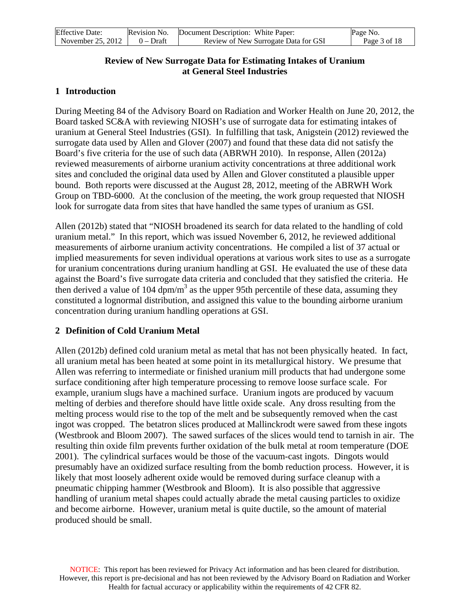| <b>Effective Date:</b>        | Revision No. | Document Description: White Paper:   | Page No.     |  |
|-------------------------------|--------------|--------------------------------------|--------------|--|
| November 25, 2012 $\parallel$ | 0 – Draft    | Review of New Surrogate Data for GSI | Page 3 of 18 |  |

### **Review of New Surrogate Data for Estimating Intakes of Uranium at General Steel Industries**

### **1 Introduction**

During Meeting 84 of the Advisory Board on Radiation and Worker Health on June 20, 2012, the Board tasked SC&A with reviewing NIOSH's use of surrogate data for estimating intakes of uranium at General Steel Industries (GSI). In fulfilling that task, Anigstein (2012) reviewed the surrogate data used by Allen and Glover (2007) and found that these data did not satisfy the Board's five criteria for the use of such data (ABRWH 2010). In response, Allen (2012a) reviewed measurements of airborne uranium activity concentrations at three additional work sites and concluded the original data used by Allen and Glover constituted a plausible upper bound. Both reports were discussed at the August 28, 2012, meeting of the ABRWH Work Group on TBD-6000. At the conclusion of the meeting, the work group requested that NIOSH look for surrogate data from sites that have handled the same types of uranium as GSI.

Allen (2012b) stated that "NIOSH broadened its search for data related to the handling of cold uranium metal." In this report, which was issued November 6, 2012, he reviewed additional measurements of airborne uranium activity concentrations. He compiled a list of 37 actual or implied measurements for seven individual operations at various work sites to use as a surrogate for uranium concentrations during uranium handling at GSI. He evaluated the use of these data against the Board's five surrogate data criteria and concluded that they satisfied the criteria. He then derived a value of 104  $dpm/m<sup>3</sup>$  as the upper 95th percentile of these data, assuming they constituted a lognormal distribution, and assigned this value to the bounding airborne uranium concentration during uranium handling operations at GSI.

# **2 Definition of Cold Uranium Metal**

Allen (2012b) defined cold uranium metal as metal that has not been physically heated. In fact, all uranium metal has been heated at some point in its metallurgical history. We presume that Allen was referring to intermediate or finished uranium mill products that had undergone some surface conditioning after high temperature processing to remove loose surface scale. For example, uranium slugs have a machined surface. Uranium ingots are produced by vacuum melting of derbies and therefore should have little oxide scale. Any dross resulting from the melting process would rise to the top of the melt and be subsequently removed when the cast ingot was cropped. The betatron slices produced at Mallinckrodt were sawed from these ingots (Westbrook and Bloom 2007). The sawed surfaces of the slices would tend to tarnish in air. The resulting thin oxide film prevents further oxidation of the bulk metal at room temperature (DOE 2001). The cylindrical surfaces would be those of the vacuum-cast ingots. Dingots would presumably have an oxidized surface resulting from the bomb reduction process. However, it is likely that most loosely adherent oxide would be removed during surface cleanup with a pneumatic chipping hammer (Westbrook and Bloom). It is also possible that aggressive handling of uranium metal shapes could actually abrade the metal causing particles to oxidize and become airborne. However, uranium metal is quite ductile, so the amount of material produced should be small.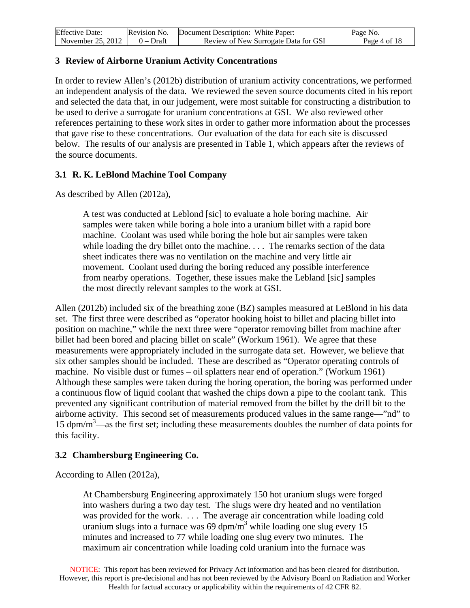| <b>Effective Date:</b> | Revision No. | Document Description: White Paper:   | Page No.     |
|------------------------|--------------|--------------------------------------|--------------|
| November 25, 2012      | 0 – Draft    | Review of New Surrogate Data for GSI | Page 4 of 18 |

#### **3 Review of Airborne Uranium Activity Concentrations**

In order to review Allen's (2012b) distribution of uranium activity concentrations, we performed an independent analysis of the data. We reviewed the seven source documents cited in his report and selected the data that, in our judgement, were most suitable for constructing a distribution to be used to derive a surrogate for uranium concentrations at GSI. We also reviewed other references pertaining to these work sites in order to gather more information about the processes that gave rise to these concentrations. Our evaluation of the data for each site is discussed below. The results of our analysis are presented in Table 1, which appears after the reviews of the source documents.

### **3.1 R. K. LeBlond Machine Tool Company**

As described by Allen (2012a),

A test was conducted at Leblond [sic] to evaluate a hole boring machine. Air samples were taken while boring a hole into a uranium billet with a rapid bore machine. Coolant was used while boring the hole but air samples were taken while loading the dry billet onto the machine. . . . The remarks section of the data sheet indicates there was no ventilation on the machine and very little air movement. Coolant used during the boring reduced any possible interference from nearby operations. Together, these issues make the Lebland [sic] samples the most directly relevant samples to the work at GSI.

Allen (2012b) included six of the breathing zone (BZ) samples measured at LeBlond in his data set. The first three were described as "operator hooking hoist to billet and placing billet into position on machine," while the next three were "operator removing billet from machine after billet had been bored and placing billet on scale" (Workum 1961). We agree that these measurements were appropriately included in the surrogate data set. However, we believe that six other samples should be included. These are described as "Operator operating controls of machine. No visible dust or fumes – oil splatters near end of operation." (Workum 1961) Although these samples were taken during the boring operation, the boring was performed under a continuous flow of liquid coolant that washed the chips down a pipe to the coolant tank. This prevented any significant contribution of material removed from the billet by the drill bit to the airborne activity. This second set of measurements produced values in the same range—"nd" to 15 dpm/m3 —as the first set; including these measurements doubles the number of data points for this facility.

### **3.2 Chambersburg Engineering Co.**

According to Allen (2012a),

At Chambersburg Engineering approximately 150 hot uranium slugs were forged into washers during a two day test. The slugs were dry heated and no ventilation was provided for the work. . . . The average air concentration while loading cold uranium slugs into a furnace was 69 dpm/m<sup>3</sup> while loading one slug every 15 minutes and increased to 77 while loading one slug every two minutes. The maximum air concentration while loading cold uranium into the furnace was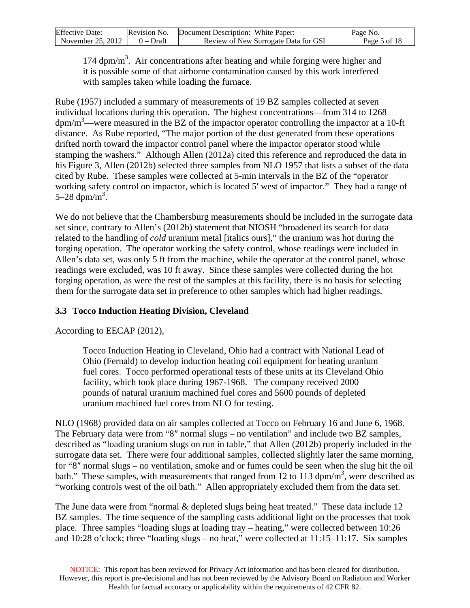| <b>Effective Date:</b> | Revision No. | Document Description: White Paper:   | Page No.     |
|------------------------|--------------|--------------------------------------|--------------|
| November $25, 2012$    | $0$ – Draft  | Review of New Surrogate Data for GSI | Page 5 of 18 |

174 dpm/m<sup>3</sup>. Air concentrations after heating and while forging were higher and it is possible some of that airborne contamination caused by this work interfered with samples taken while loading the furnace.

Rube (1957) included a summary of measurements of 19 BZ samples collected at seven individual locations during this operation. The highest concentrations—from 314 to 1268  $dpm/m<sup>3</sup>$ —were measured in the BZ of the impactor operator controlling the impactor at a 10-ft distance. As Rube reported, "The major portion of the dust generated from these operations drifted north toward the impactor control panel where the impactor operator stood while stamping the washers." Although Allen (2012a) cited this reference and reproduced the data in his Figure 3, Allen (2012b) selected three samples from NLO 1957 that lists a subset of the data cited by Rube. These samples were collected at 5-min intervals in the BZ of the "operator working safety control on impactor, which is located 5′ west of impactor." They had a range of 5–28 dpm/m<sup>3</sup>.

We do not believe that the Chambersburg measurements should be included in the surrogate data set since, contrary to Allen's (2012b) statement that NIOSH "broadened its search for data related to the handling of *cold* uranium metal [italics ours]," the uranium was hot during the forging operation. The operator working the safety control, whose readings were included in Allen's data set, was only 5 ft from the machine, while the operator at the control panel, whose readings were excluded, was 10 ft away. Since these samples were collected during the hot forging operation, as were the rest of the samples at this facility, there is no basis for selecting them for the surrogate data set in preference to other samples which had higher readings.

### **3.3 Tocco Induction Heating Division, Cleveland**

According to EECAP (2012),

Tocco Induction Heating in Cleveland, Ohio had a contract with National Lead of Ohio (Fernald) to develop induction heating coil equipment for heating uranium fuel cores. Tocco performed operational tests of these units at its Cleveland Ohio facility, which took place during 1967-1968. The company received 2000 pounds of natural uranium machined fuel cores and 5600 pounds of depleted uranium machined fuel cores from NLO for testing.

NLO (1968) provided data on air samples collected at Tocco on February 16 and June 6, 1968. The February data were from "8″ normal slugs – no ventilation" and include two BZ samples, described as "loading uranium slugs on run in table," that Allen (2012b) properly included in the surrogate data set. There were four additional samples, collected slightly later the same morning, for "8″ normal slugs – no ventilation, smoke and or fumes could be seen when the slug hit the oil bath." These samples, with measurements that ranged from 12 to 113 dpm/m<sup>3</sup>, were described as "working controls west of the oil bath." Allen appropriately excluded them from the data set.

The June data were from "normal & depleted slugs being heat treated." These data include 12 BZ samples. The time sequence of the sampling casts additional light on the processes that took place. Three samples "loading slugs at loading tray – heating," were collected between 10:26 and 10:28 o'clock; three "loading slugs – no heat," were collected at 11:15–11:17. Six samples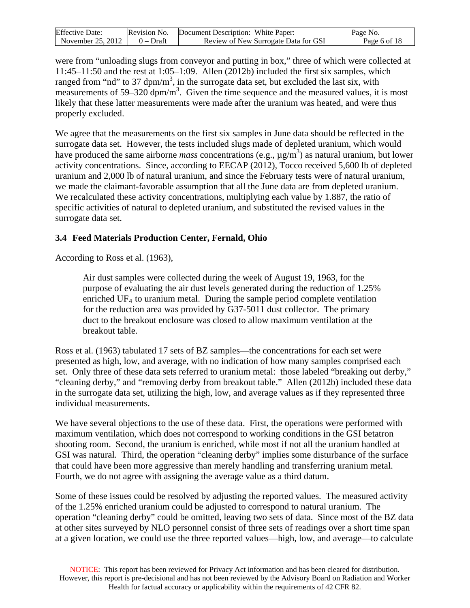| <b>Effective Date:</b>        | Revision No. | Document Description: White Paper:   | Page No.     |
|-------------------------------|--------------|--------------------------------------|--------------|
| November 25, 2012 $\parallel$ | $0 - Dr$ aft | Review of New Surrogate Data for GSI | Page 6 of 18 |

were from "unloading slugs from conveyor and putting in box," three of which were collected at 11:45–11:50 and the rest at 1:05–1:09. Allen (2012b) included the first six samples, which ranged from "nd" to 37 dpm/m<sup>3</sup>, in the surrogate data set, but excluded the last six, with measurements of  $59-320$  dpm/m<sup>3</sup>. Given the time sequence and the measured values, it is most likely that these latter measurements were made after the uranium was heated, and were thus properly excluded.

We agree that the measurements on the first six samples in June data should be reflected in the surrogate data set. However, the tests included slugs made of depleted uranium, which would have produced the same airborne *mass* concentrations (e.g.,  $\mu$ g/m<sup>3</sup>) as natural uranium, but lower activity concentrations. Since, according to EECAP (2012), Tocco received 5,600 lb of depleted uranium and 2,000 lb of natural uranium, and since the February tests were of natural uranium, we made the claimant-favorable assumption that all the June data are from depleted uranium. We recalculated these activity concentrations, multiplying each value by 1.887, the ratio of specific activities of natural to depleted uranium, and substituted the revised values in the surrogate data set.

# **3.4 Feed Materials Production Center, Fernald, Ohio**

According to Ross et al. (1963),

Air dust samples were collected during the week of August 19, 1963, for the purpose of evaluating the air dust levels generated during the reduction of 1.25% enriched  $UF_4$  to uranium metal. During the sample period complete ventilation for the reduction area was provided by G37-5011 dust collector. The primary duct to the breakout enclosure was closed to allow maximum ventilation at the breakout table.

Ross et al. (1963) tabulated 17 sets of BZ samples—the concentrations for each set were presented as high, low, and average, with no indication of how many samples comprised each set. Only three of these data sets referred to uranium metal: those labeled "breaking out derby," "cleaning derby," and "removing derby from breakout table." Allen (2012b) included these data in the surrogate data set, utilizing the high, low, and average values as if they represented three individual measurements.

We have several objections to the use of these data. First, the operations were performed with maximum ventilation, which does not correspond to working conditions in the GSI betatron shooting room. Second, the uranium is enriched, while most if not all the uranium handled at GSI was natural. Third, the operation "cleaning derby" implies some disturbance of the surface that could have been more aggressive than merely handling and transferring uranium metal. Fourth, we do not agree with assigning the average value as a third datum.

Some of these issues could be resolved by adjusting the reported values. The measured activity of the 1.25% enriched uranium could be adjusted to correspond to natural uranium. The operation "cleaning derby" could be omitted, leaving two sets of data. Since most of the BZ data at other sites surveyed by NLO personnel consist of three sets of readings over a short time span at a given location, we could use the three reported values—high, low, and average—to calculate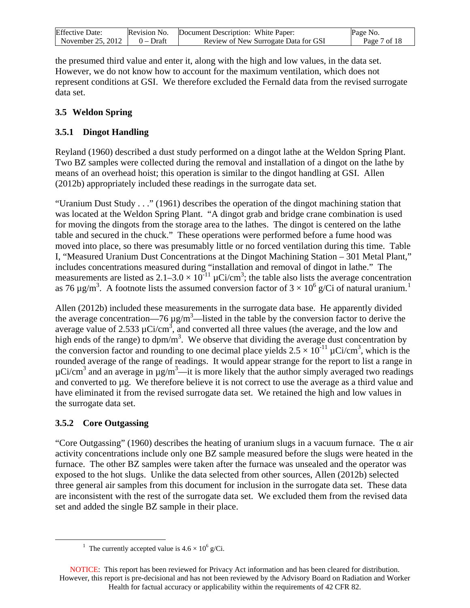| <b>Effective Date:</b> | Revision No. | Document Description: White Paper:   | Page No.     |
|------------------------|--------------|--------------------------------------|--------------|
| November 25, 2012      | $0$ – Draft  | Review of New Surrogate Data for GSI | Page 7 of 18 |

the presumed third value and enter it, along with the high and low values, in the data set. However, we do not know how to account for the maximum ventilation, which does not represent conditions at GSI. We therefore excluded the Fernald data from the revised surrogate data set.

# **3.5 Weldon Spring**

# **3.5.1 Dingot Handling**

Reyland (1960) described a dust study performed on a dingot lathe at the Weldon Spring Plant. Two BZ samples were collected during the removal and installation of a dingot on the lathe by means of an overhead hoist; this operation is similar to the dingot handling at GSI. Allen (2012b) appropriately included these readings in the surrogate data set.

"Uranium Dust Study . . ." (1961) describes the operation of the dingot machining station that was located at the Weldon Spring Plant. "A dingot grab and bridge crane combination is used for moving the dingots from the storage area to the lathes. The dingot is centered on the lathe table and secured in the chuck." These operations were performed before a fume hood was moved into place, so there was presumably little or no forced ventilation during this time. Table I, "Measured Uranium Dust Concentrations at the Dingot Machining Station – 301 Metal Plant," includes concentrations measured during "installation and removal of dingot in lathe." The measurements are listed as  $2.1-3.0 \times 10^{-11} \mu \text{Ci/cm}^3$ ; the table also lists the average concentration as 76  $\mu$ g/m<sup>3</sup>. A footnote lists the assumed conversion factor of 3  $\times$  [1](#page-6-0)0<sup>6</sup> g/Ci of natural uranium.<sup>1</sup>

Allen (2012b) included these measurements in the surrogate data base. He apparently divided the average concentration—76  $\mu$ g/m<sup>3</sup>—listed in the table by the conversion factor to derive the average value of 2.533  $\mu$ Ci/cm<sup>3</sup>, and converted all three values (the average, and the low and high ends of the range) to  $dpm/m<sup>3</sup>$ . We observe that dividing the average dust concentration by the conversion factor and rounding to one decimal place yields  $2.5 \times 10^{-11}$   $\mu$ Ci/cm<sup>3</sup>, which is the rounded average of the range of readings. It would appear strange for the report to list a range in  $\mu$ Ci/cm<sup>3</sup> and an average in  $\mu$ g/m<sup>3</sup>—it is more likely that the author simply averaged two readings and converted to  $\mu$ g. We therefore believe it is not correct to use the average as a third value and have eliminated it from the revised surrogate data set. We retained the high and low values in the surrogate data set.

# **3.5.2 Core Outgassing**

<span id="page-6-0"></span> $\overline{a}$ 

"Core Outgassing" (1960) describes the heating of uranium slugs in a vacuum furnace. The α air activity concentrations include only one BZ sample measured before the slugs were heated in the furnace. The other BZ samples were taken after the furnace was unsealed and the operator was exposed to the hot slugs. Unlike the data selected from other sources, Allen (2012b) selected three general air samples from this document for inclusion in the surrogate data set. These data are inconsistent with the rest of the surrogate data set. We excluded them from the revised data set and added the single BZ sample in their place.

<sup>&</sup>lt;sup>1</sup> The currently accepted value is  $4.6 \times 10^6$  g/Ci.

NOTICE: This report has been reviewed for Privacy Act information and has been cleared for distribution. However, this report is pre-decisional and has not been reviewed by the Advisory Board on Radiation and Worker Health for factual accuracy or applicability within the requirements of 42 CFR 82.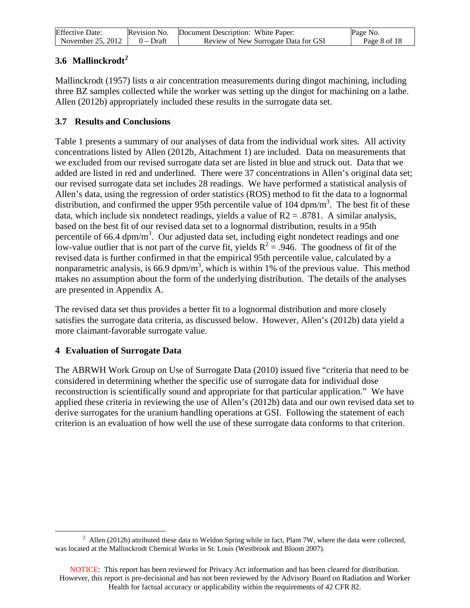| <b>Effective Date:</b> |             | Revision No. Document Description: White Paper: | Page No.     |
|------------------------|-------------|-------------------------------------------------|--------------|
| November 25, 2012      | $0 - Draff$ | Review of New Surrogate Data for GSI            | Page 8 of 18 |

# **3.6 Mallinckrodt[2](#page-7-0)**

Mallinckrodt (1957) lists  $\alpha$  air concentration measurements during dingot machining, including three BZ samples collected while the worker was setting up the dingot for machining on a lathe. Allen (2012b) appropriately included these results in the surrogate data set.

# **3.7 Results and Conclusions**

Table 1 presents a summary of our analyses of data from the individual work sites. All activity concentrations listed by Allen (2012b, Attachment 1) are included. Data on measurements that we excluded from our revised surrogate data set are listed in blue and struck out. Data that we added are listed in red and underlined. There were 37 concentrations in Allen's original data set; our revised surrogate data set includes 28 readings. We have performed a statistical analysis of Allen's data, using the regression of order statistics (ROS) method to fit the data to a lognormal distribution, and confirmed the upper 95th percentile value of 104  $dpm/m<sup>3</sup>$ . The best fit of these data, which include six nondetect readings, yields a value of  $R2 = .8781$ . A similar analysis, based on the best fit of our revised data set to a lognormal distribution, results in a 95th percentile of 66.4  $dpm/m<sup>3</sup>$ . Our adjusted data set, including eight nondetect readings and one low-value outlier that is not part of the curve fit, yields  $R^2 = .946$ . The goodness of fit of the revised data is further confirmed in that the empirical 95th percentile value, calculated by a nonparametric analysis, is 66.9 dpm/m<sup>3</sup>, which is within 1% of the previous value. This method makes no assumption about the form of the underlying distribution. The details of the analyses are presented in Appendix A.

The revised data set thus provides a better fit to a lognormal distribution and more closely satisfies the surrogate data criteria, as discussed below. However, Allen's (2012b) data yield a more claimant-favorable surrogate value.

### **4 Evaluation of Surrogate Data**

The ABRWH Work Group on Use of Surrogate Data (2010) issued five "criteria that need to be considered in determining whether the specific use of surrogate data for individual dose reconstruction is scientifically sound and appropriate for that particular application." We have applied these criteria in reviewing the use of Allen's (2012b) data and our own revised data set to derive surrogates for the uranium handling operations at GSI. Following the statement of each criterion is an evaluation of how well the use of these surrogate data conforms to that criterion.

<span id="page-7-0"></span> $\overline{a}$ <sup>2</sup> Allen (2012b) attributed these data to Weldon Spring while in fact, Plant 7W, where the data were collected, was located at the Mallinckrodt Chemical Works in St. Louis (Westbrook and Bloom 2007).

NOTICE: This report has been reviewed for Privacy Act information and has been cleared for distribution. However, this report is pre-decisional and has not been reviewed by the Advisory Board on Radiation and Worker Health for factual accuracy or applicability within the requirements of 42 CFR 82.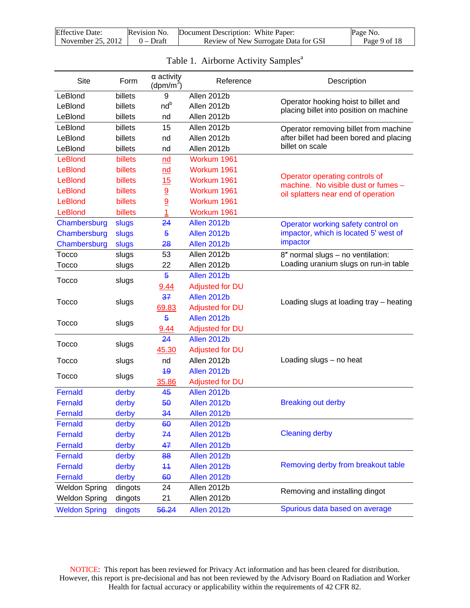| <b>Effective Date:</b>              | Revision No. Document Description: White Paper: | Page No.     |  |
|-------------------------------------|-------------------------------------------------|--------------|--|
| November 25, 2012 $\vert$ 0 – Draft | Review of New Surrogate Data for GSI            | Page 9 of 18 |  |

| <b>Site</b>          | Form    | $\alpha$ activity<br>(dpm/m <sup>3</sup> ) | Reference              | Description                                                                     |
|----------------------|---------|--------------------------------------------|------------------------|---------------------------------------------------------------------------------|
| LeBlond              | billets | 9                                          | Allen 2012b            |                                                                                 |
| LeBlond              | billets | nd <sup>b</sup>                            | Allen 2012b            | Operator hooking hoist to billet and<br>placing billet into position on machine |
| LeBlond              | billets | nd                                         | Allen 2012b            |                                                                                 |
| LeBlond              | billets | 15                                         | Allen 2012b            | Operator removing billet from machine                                           |
| LeBlond              | billets | nd                                         | Allen 2012b            | after billet had been bored and placing                                         |
| LeBlond              | billets | nd                                         | Allen 2012b            | billet on scale                                                                 |
| LeBlond              | billets | nd                                         | Workum 1961            |                                                                                 |
| LeBlond              | billets | nd                                         | Workum 1961            |                                                                                 |
| LeBlond              | billets | 15                                         | Workum 1961            | Operator operating controls of<br>machine. No visible dust or fumes -           |
| LeBlond              | billets | 9                                          | Workum 1961            | oil splatters near end of operation                                             |
| LeBlond              | billets | 9                                          | Workum 1961            |                                                                                 |
| LeBlond              | billets | 1                                          | Workum 1961            |                                                                                 |
| Chambersburg         | slugs   | 24                                         | Allen 2012b            | Operator working safety control on                                              |
| Chambersburg         | slugs   | $\overline{5}$                             | Allen 2012b            | impactor, which is located 5' west of                                           |
| Chambersburg         | slugs   | 28                                         | Allen 2012b            | impactor                                                                        |
| Tocco                | slugs   | 53                                         | Allen 2012b            | 8" normal slugs - no ventilation:                                               |
| Tocco                | slugs   | 22                                         | Allen 2012b            | Loading uranium slugs on run-in table                                           |
| Tocco                | slugs   | $\overline{5}$                             | Allen 2012b            |                                                                                 |
|                      |         | 9.44                                       | <b>Adjusted for DU</b> |                                                                                 |
| Tocco                | slugs   | 37                                         | Allen 2012b            | Loading slugs at loading tray - heating                                         |
|                      |         | 69.83                                      | <b>Adjusted for DU</b> |                                                                                 |
| <b>Tocco</b>         | slugs   | $\overline{5}$                             | Allen 2012b            |                                                                                 |
|                      |         | 9.44                                       | Adjusted for DU        |                                                                                 |
| <b>Tocco</b>         | slugs   | 24                                         | Allen 2012b            |                                                                                 |
|                      |         | 45.30                                      | <b>Adjusted for DU</b> |                                                                                 |
| <b>Tocco</b>         | slugs   | nd                                         | Allen 2012b            | Loading slugs - no heat                                                         |
| <b>Tocco</b>         | slugs   | 49                                         | Allen 2012b            |                                                                                 |
|                      |         | 35.86                                      | <b>Adjusted for DU</b> |                                                                                 |
| Fernald              | derby   | 45                                         | Allen 2012b            |                                                                                 |
| Fernald              | derby   | 50                                         | Allen 2012b            | <b>Breaking out derby</b>                                                       |
| Fernald              | derby   | 34                                         | Allen 2012b            |                                                                                 |
| Fernald              | derby   | 60                                         | Allen 2012b            |                                                                                 |
| Fernald              | derby   | 74                                         | Allen 2012b            | <b>Cleaning derby</b>                                                           |
| Fernald              | derby   | 47                                         | Allen 2012b            |                                                                                 |
| Fernald              | derby   | 88                                         | Allen 2012b            |                                                                                 |
| Fernald              | derby   | 44                                         | Allen 2012b            | Removing derby from breakout table                                              |
| Fernald              | derby   | 60                                         | Allen 2012b            |                                                                                 |
| <b>Weldon Spring</b> | dingots | 24                                         | Allen 2012b            | Removing and installing dingot                                                  |
| <b>Weldon Spring</b> | dingots | 21                                         | Allen 2012b            |                                                                                 |
| <b>Weldon Spring</b> | dingots | 56.24                                      | Allen 2012b            | Spurious data based on average                                                  |

# Table 1. Airborne Activity Samples<sup>a</sup>

NOTICE: This report has been reviewed for Privacy Act information and has been cleared for distribution. However, this report is pre-decisional and has not been reviewed by the Advisory Board on Radiation and Worker Health for factual accuracy or applicability within the requirements of 42 CFR 82.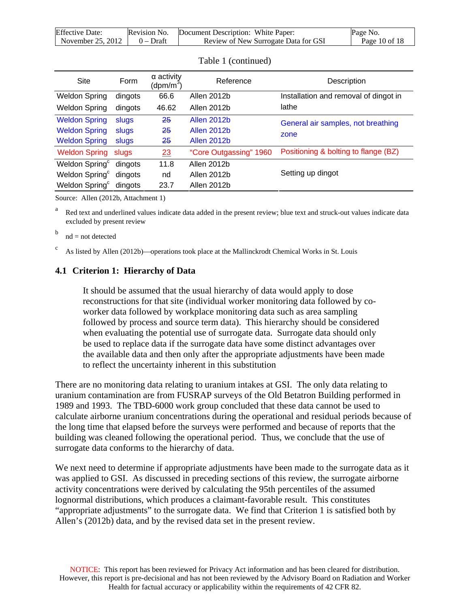| <b>Effective Date:</b>              | Revision No. | Document Description: White Paper:   | Page No.      |
|-------------------------------------|--------------|--------------------------------------|---------------|
| November 25, 2012 $\vert$ 0 – Draft |              | Review of New Surrogate Data for GSI | Page 10 of 18 |

| Site                       | Form    | $\alpha$ activity<br>(dpm/m <sup>3</sup> ) | Reference              | Description                           |
|----------------------------|---------|--------------------------------------------|------------------------|---------------------------------------|
| <b>Weldon Spring</b>       | dingots | 66.6                                       | Allen 2012b            | Installation and removal of dingot in |
| <b>Weldon Spring</b>       | dingots | 46.62                                      | Allen 2012b            | lathe                                 |
| <b>Weldon Spring</b>       | slugs   | 25                                         | <b>Allen 2012b</b>     | General air samples, not breathing    |
| <b>Weldon Spring</b>       | slugs   | 25                                         | <b>Allen 2012b</b>     | zone                                  |
| <b>Weldon Spring</b>       | slugs   | 25                                         | Allen 2012b            |                                       |
| <b>Weldon Spring slugs</b> |         | 23                                         | "Core Outgassing" 1960 | Positioning & bolting to flange (BZ)  |
| Weldon Spring <sup>c</sup> | dingots | 11.8                                       | Allen 2012b            |                                       |
| Weldon Spring <sup>c</sup> | dingots | nd                                         | Allen 2012b            | Setting up dingot                     |
| Weldon Spring <sup>c</sup> | dingots | 23.7                                       | Allen 2012b            |                                       |
|                            |         |                                            |                        |                                       |

Table 1 (continued)

Source: Allen (2012b, Attachment 1)

Red text and underlined values indicate data added in the present review; blue text and struck-out values indicate data excluded by present review

 $b$  nd = not detected

 $\epsilon$  As listed by Allen (2012b)—operations took place at the Mallinckrodt Chemical Works in St. Louis

#### **4.1 Criterion 1: Hierarchy of Data**

It should be assumed that the usual hierarchy of data would apply to dose reconstructions for that site (individual worker monitoring data followed by coworker data followed by workplace monitoring data such as area sampling followed by process and source term data). This hierarchy should be considered when evaluating the potential use of surrogate data. Surrogate data should only be used to replace data if the surrogate data have some distinct advantages over the available data and then only after the appropriate adjustments have been made to reflect the uncertainty inherent in this substitution

There are no monitoring data relating to uranium intakes at GSI. The only data relating to uranium contamination are from FUSRAP surveys of the Old Betatron Building performed in 1989 and 1993. The TBD-6000 work group concluded that these data cannot be used to calculate airborne uranium concentrations during the operational and residual periods because of the long time that elapsed before the surveys were performed and because of reports that the building was cleaned following the operational period. Thus, we conclude that the use of surrogate data conforms to the hierarchy of data.

We next need to determine if appropriate adjustments have been made to the surrogate data as it was applied to GSI. As discussed in preceding sections of this review, the surrogate airborne activity concentrations were derived by calculating the 95th percentiles of the assumed lognormal distributions, which produces a claimant-favorable result. This constitutes "appropriate adjustments" to the surrogate data. We find that Criterion 1 is satisfied both by Allen's (2012b) data, and by the revised data set in the present review.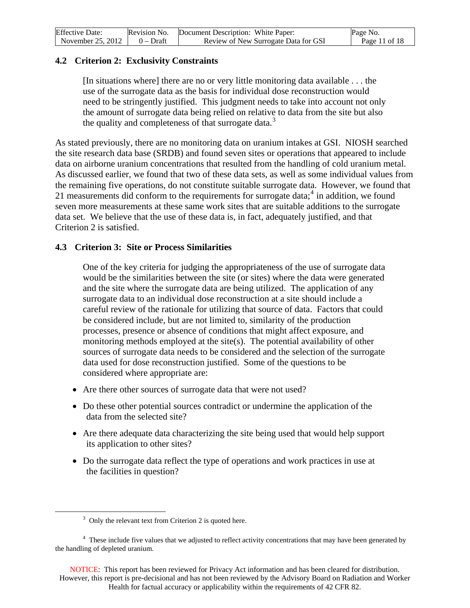| <b>Effective Date:</b>              | Revision No. | Document Description: White Paper:   | Page No.      |  |
|-------------------------------------|--------------|--------------------------------------|---------------|--|
| November 25, 2012 $\vert$ 0 – Draft |              | Review of New Surrogate Data for GSI | Page 11 of 18 |  |

### **4.2 Criterion 2: Exclusivity Constraints**

[In situations where] there are no or very little monitoring data available . . . the use of the surrogate data as the basis for individual dose reconstruction would need to be stringently justified. This judgment needs to take into account not only the amount of surrogate data being relied on relative to data from the site but also the quality and completeness of that surrogate data.<sup>[3](#page-10-0)</sup>

As stated previously, there are no monitoring data on uranium intakes at GSI. NIOSH searched the site research data base (SRDB) and found seven sites or operations that appeared to include data on airborne uranium concentrations that resulted from the handling of cold uranium metal. As discussed earlier, we found that two of these data sets, as well as some individual values from the remaining five operations, do not constitute suitable surrogate data. However, we found that 21 measurements did conform to the requirements for surrogate data; $4$  in addition, we found seven more measurements at these same work sites that are suitable additions to the surrogate data set. We believe that the use of these data is, in fact, adequately justified, and that Criterion 2 is satisfied.

### **4.3 Criterion 3: Site or Process Similarities**

One of the key criteria for judging the appropriateness of the use of surrogate data would be the similarities between the site (or sites) where the data were generated and the site where the surrogate data are being utilized. The application of any surrogate data to an individual dose reconstruction at a site should include a careful review of the rationale for utilizing that source of data. Factors that could be considered include, but are not limited to, similarity of the production processes, presence or absence of conditions that might affect exposure, and monitoring methods employed at the site(s). The potential availability of other sources of surrogate data needs to be considered and the selection of the surrogate data used for dose reconstruction justified. Some of the questions to be considered where appropriate are:

- Are there other sources of surrogate data that were not used?
- Do these other potential sources contradict or undermine the application of the data from the selected site?
- Are there adequate data characterizing the site being used that would help support its application to other sites?
- Do the surrogate data reflect the type of operations and work practices in use at the facilities in question?

<span id="page-10-0"></span> $\overline{a}$ 

 $3$  Only the relevant text from Criterion 2 is quoted here.

<span id="page-10-1"></span><sup>&</sup>lt;sup>4</sup> These include five values that we adjusted to reflect activity concentrations that may have been generated by the handling of depleted uranium.

NOTICE: This report has been reviewed for Privacy Act information and has been cleared for distribution. However, this report is pre-decisional and has not been reviewed by the Advisory Board on Radiation and Worker Health for factual accuracy or applicability within the requirements of 42 CFR 82.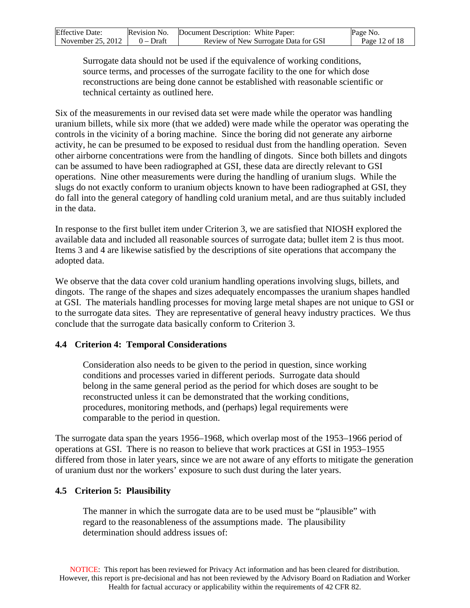| <b>Effective Date:</b> | Revision No. | Document Description: White Paper:   | Page No.      |
|------------------------|--------------|--------------------------------------|---------------|
| November 25, 2012      | 0 – Draft    | Review of New Surrogate Data for GSI | Page 12 of 18 |

Surrogate data should not be used if the equivalence of working conditions, source terms, and processes of the surrogate facility to the one for which dose reconstructions are being done cannot be established with reasonable scientific or technical certainty as outlined here.

Six of the measurements in our revised data set were made while the operator was handling uranium billets, while six more (that we added) were made while the operator was operating the controls in the vicinity of a boring machine. Since the boring did not generate any airborne activity, he can be presumed to be exposed to residual dust from the handling operation. Seven other airborne concentrations were from the handling of dingots. Since both billets and dingots can be assumed to have been radiographed at GSI, these data are directly relevant to GSI operations. Nine other measurements were during the handling of uranium slugs. While the slugs do not exactly conform to uranium objects known to have been radiographed at GSI, they do fall into the general category of handling cold uranium metal, and are thus suitably included in the data.

In response to the first bullet item under Criterion 3, we are satisfied that NIOSH explored the available data and included all reasonable sources of surrogate data; bullet item 2 is thus moot. Items 3 and 4 are likewise satisfied by the descriptions of site operations that accompany the adopted data.

We observe that the data cover cold uranium handling operations involving slugs, billets, and dingots. The range of the shapes and sizes adequately encompasses the uranium shapes handled at GSI. The materials handling processes for moving large metal shapes are not unique to GSI or to the surrogate data sites. They are representative of general heavy industry practices. We thus conclude that the surrogate data basically conform to Criterion 3.

#### **4.4 Criterion 4: Temporal Considerations**

Consideration also needs to be given to the period in question, since working conditions and processes varied in different periods. Surrogate data should belong in the same general period as the period for which doses are sought to be reconstructed unless it can be demonstrated that the working conditions, procedures, monitoring methods, and (perhaps) legal requirements were comparable to the period in question.

The surrogate data span the years 1956–1968, which overlap most of the 1953–1966 period of operations at GSI. There is no reason to believe that work practices at GSI in 1953–1955 differed from those in later years, since we are not aware of any efforts to mitigate the generation of uranium dust nor the workers' exposure to such dust during the later years.

#### **4.5 Criterion 5: Plausibility**

The manner in which the surrogate data are to be used must be "plausible" with regard to the reasonableness of the assumptions made. The plausibility determination should address issues of: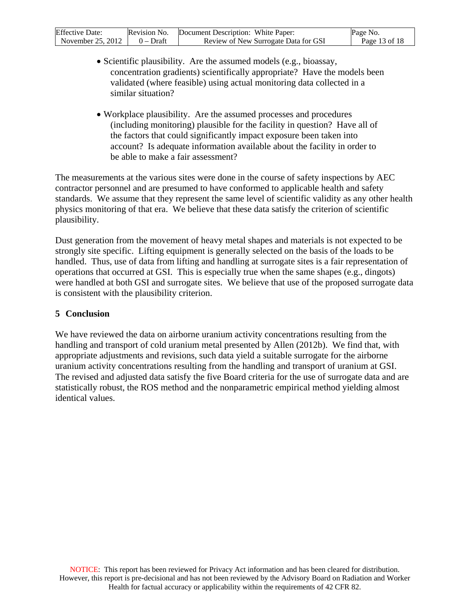| <b>Effective Date:</b> | Revision No. | Document Description: White Paper:   | Page No.        |
|------------------------|--------------|--------------------------------------|-----------------|
| November 25, 2012      | 0 – Draft    | Review of New Surrogate Data for GSI | Page 13 of $18$ |

- Scientific plausibility. Are the assumed models (e.g., bioassay, concentration gradients) scientifically appropriate? Have the models been validated (where feasible) using actual monitoring data collected in a similar situation?
- Workplace plausibility. Are the assumed processes and procedures (including monitoring) plausible for the facility in question? Have all of the factors that could significantly impact exposure been taken into account? Is adequate information available about the facility in order to be able to make a fair assessment?

The measurements at the various sites were done in the course of safety inspections by AEC contractor personnel and are presumed to have conformed to applicable health and safety standards. We assume that they represent the same level of scientific validity as any other health physics monitoring of that era. We believe that these data satisfy the criterion of scientific plausibility.

Dust generation from the movement of heavy metal shapes and materials is not expected to be strongly site specific. Lifting equipment is generally selected on the basis of the loads to be handled. Thus, use of data from lifting and handling at surrogate sites is a fair representation of operations that occurred at GSI. This is especially true when the same shapes (e.g., dingots) were handled at both GSI and surrogate sites. We believe that use of the proposed surrogate data is consistent with the plausibility criterion.

#### **5 Conclusion**

We have reviewed the data on airborne uranium activity concentrations resulting from the handling and transport of cold uranium metal presented by Allen (2012b). We find that, with appropriate adjustments and revisions, such data yield a suitable surrogate for the airborne uranium activity concentrations resulting from the handling and transport of uranium at GSI. The revised and adjusted data satisfy the five Board criteria for the use of surrogate data and are statistically robust, the ROS method and the nonparametric empirical method yielding almost identical values.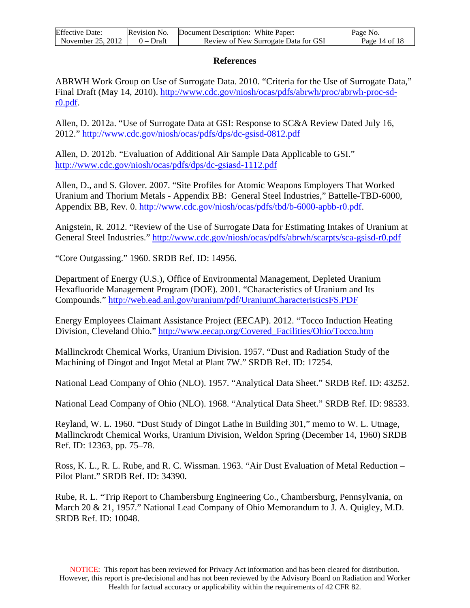| <b>Effective Date:</b> | Revision No. | Document Description: White Paper:   | Page No.      |
|------------------------|--------------|--------------------------------------|---------------|
| November 25, 2012      | $0 - Dr$ aft | Review of New Surrogate Data for GSI | Page 14 of 18 |

#### **References**

ABRWH Work Group on Use of Surrogate Data. 2010. "Criteria for the Use of Surrogate Data," Final Draft (May 14, 2010). [http://www.cdc.gov/niosh/ocas/pdfs/abrwh/proc/abrwh-proc-sd](http://www.cdc.gov/niosh/ocas/pdfs/abrwh/proc/abrwh-proc-sd-r0.pdf)[r0.pdf.](http://www.cdc.gov/niosh/ocas/pdfs/abrwh/proc/abrwh-proc-sd-r0.pdf)

Allen, D. 2012a. "Use of Surrogate Data at GSI: Response to SC&A Review Dated July 16, 2012."<http://www.cdc.gov/niosh/ocas/pdfs/dps/dc-gsisd-0812.pdf>

Allen, D. 2012b. "Evaluation of Additional Air Sample Data Applicable to GSI." <http://www.cdc.gov/niosh/ocas/pdfs/dps/dc-gsiasd-1112.pdf>

Allen, D., and S. Glover. 2007. "Site Profiles for Atomic Weapons Employers That Worked Uranium and Thorium Metals - Appendix BB: General Steel Industries," Battelle-TBD-6000, Appendix BB, Rev. 0. <http://www.cdc.gov/niosh/ocas/pdfs/tbd/b-6000-apbb-r0.pdf>.

Anigstein, R. 2012. "Review of the Use of Surrogate Data for Estimating Intakes of Uranium at General Steel Industries." <http://www.cdc.gov/niosh/ocas/pdfs/abrwh/scarpts/sca-gsisd-r0.pdf>

"Core Outgassing." 1960. SRDB Ref. ID: 14956.

Department of Energy (U.S.), Office of Environmental Management, Depleted Uranium Hexafluoride Management Program (DOE). 2001. "Characteristics of Uranium and Its Compounds."<http://web.ead.anl.gov/uranium/pdf/UraniumCharacteristicsFS.PDF>

Energy Employees Claimant Assistance Project (EECAP). 2012. "Tocco Induction Heating Division, Cleveland Ohio." [http://www.eecap.org/Covered\\_Facilities/Ohio/Tocco.htm](http://www.eecap.org/Covered_Facilities/Ohio/Tocco.htm) 

Mallinckrodt Chemical Works, Uranium Division. 1957. "Dust and Radiation Study of the Machining of Dingot and Ingot Metal at Plant 7W." SRDB Ref. ID: 17254.

National Lead Company of Ohio (NLO). 1957. "Analytical Data Sheet." SRDB Ref. ID: 43252.

National Lead Company of Ohio (NLO). 1968. "Analytical Data Sheet." SRDB Ref. ID: 98533.

Reyland, W. L. 1960. "Dust Study of Dingot Lathe in Building 301," memo to W. L. Utnage, Mallinckrodt Chemical Works, Uranium Division, Weldon Spring (December 14, 1960) SRDB Ref. ID: 12363, pp. 75–78.

Ross, K. L., R. L. Rube, and R. C. Wissman. 1963. "Air Dust Evaluation of Metal Reduction – Pilot Plant." SRDB Ref. ID: 34390.

Rube, R. L. "Trip Report to Chambersburg Engineering Co., Chambersburg, Pennsylvania, on March 20 & 21, 1957." National Lead Company of Ohio Memorandum to J. A. Quigley, M.D. SRDB Ref. ID: 10048.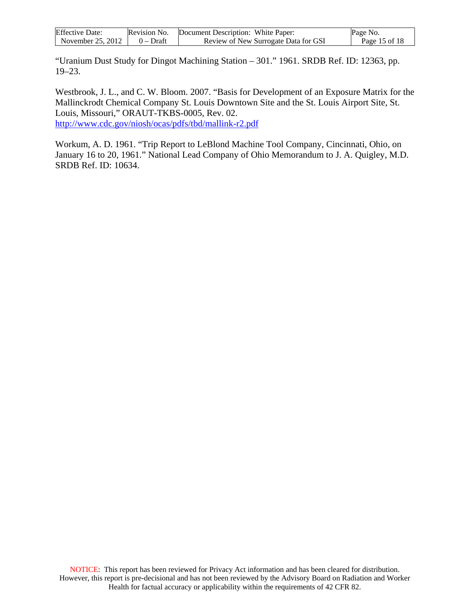| <b>Effective Date:</b> | Revision No. | Document Description: White Paper:   | Page No.      |
|------------------------|--------------|--------------------------------------|---------------|
| November 25, 2012      | 0 – Draft    | Review of New Surrogate Data for GSI | Page 15 of 18 |

"Uranium Dust Study for Dingot Machining Station – 301." 1961. SRDB Ref. ID: 12363, pp. 19–23.

Westbrook, J. L., and C. W. Bloom. 2007. "Basis for Development of an Exposure Matrix for the Mallinckrodt Chemical Company St. Louis Downtown Site and the St. Louis Airport Site, St. Louis, Missouri," ORAUT-TKBS-0005, Rev. 02. <http://www.cdc.gov/niosh/ocas/pdfs/tbd/mallink-r2.pdf>

Workum, A. D. 1961. "Trip Report to LeBlond Machine Tool Company, Cincinnati, Ohio, on January 16 to 20, 1961." National Lead Company of Ohio Memorandum to J. A. Quigley, M.D. SRDB Ref. ID: 10634.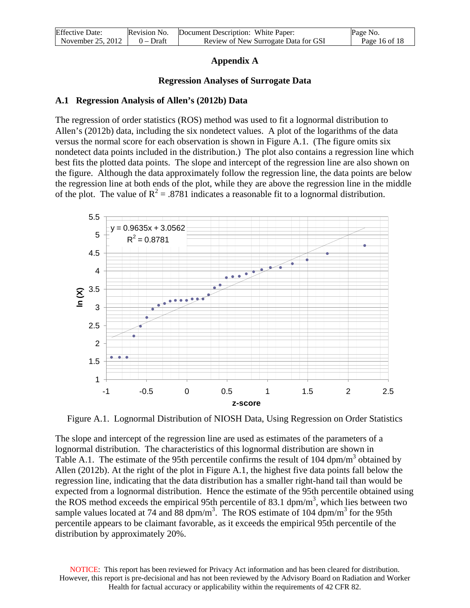| <b>Effective Date:</b> | Revision No. | Document Description: White Paper:   | Page No.      |
|------------------------|--------------|--------------------------------------|---------------|
| November 25, 2012      | $0 - Draff$  | Review of New Surrogate Data for GSI | Page 16 of 18 |

#### **Appendix A**

#### **Regression Analyses of Surrogate Data**

#### **A.1 Regression Analysis of Allen's (2012b) Data**

The regression of order statistics (ROS) method was used to fit a lognormal distribution to Allen's (2012b) data, including the six nondetect values. A plot of the logarithms of the data versus the normal score for each observation is shown in Figure A.1. (The figure omits six nondetect data points included in the distribution.) The plot also contains a regression line which best fits the plotted data points. The slope and intercept of the regression line are also shown on the figure. Although the data approximately follow the regression line, the data points are below the regression line at both ends of the plot, while they are above the regression line in the middle of the plot. The value of  $R^2 = .8781$  indicates a reasonable fit to a lognormal distribution.



Figure A.1. Lognormal Distribution of NIOSH Data, Using Regression on Order Statistics

The slope and intercept of the regression line are used as estimates of the parameters of a lognormal distribution. The characteristics of this lognormal distribution are shown in Table A.1. The estimate of the 95th percentile confirms the result of 104 dpm/m<sup>3</sup> obtained by Allen (2012b). At the right of the plot in Figure A.1, the highest five data points fall below the regression line, indicating that the data distribution has a smaller right-hand tail than would be expected from a lognormal distribution. Hence the estimate of the 95th percentile obtained using the ROS method exceeds the empirical 95th percentile of 83.1  $dpm/m<sup>3</sup>$ , which lies between two sample values located at 74 and 88 dpm/m<sup>3</sup>. The ROS estimate of 104 dpm/m<sup>3</sup> for the 95th percentile appears to be claimant favorable, as it exceeds the empirical 95th percentile of the distribution by approximately 20%.

NOTICE: This report has been reviewed for Privacy Act information and has been cleared for distribution. However, this report is pre-decisional and has not been reviewed by the Advisory Board on Radiation and Worker Health for factual accuracy or applicability within the requirements of 42 CFR 82.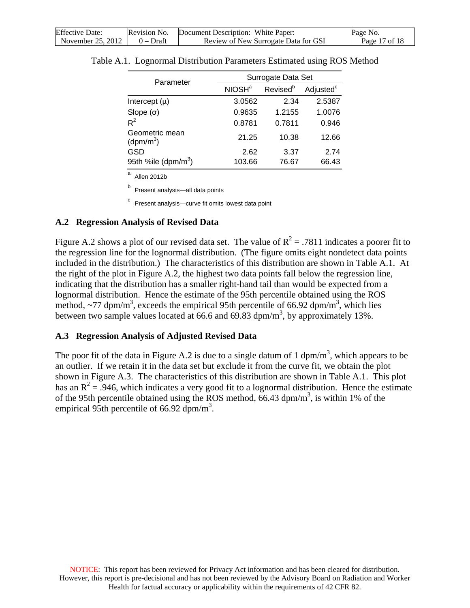| <b>Effective Date:</b> |           | Revision No. Document Description: White Paper: | Page No.      |
|------------------------|-----------|-------------------------------------------------|---------------|
| November 25, 2012      | 0 – Draft | Review of New Surrogate Data for GSI            | Page 17 of 18 |

| Parameter                               | Surrogate Data Set |                      |                       |
|-----------------------------------------|--------------------|----------------------|-----------------------|
|                                         | NIOSH <sup>a</sup> | Revised <sup>b</sup> | Adjusted <sup>c</sup> |
| Intercept $(\mu)$                       | 3.0562             | 2.34                 | 2.5387                |
| Slope $(\sigma)$                        | 0.9635             | 1.2155               | 1.0076                |
| $R^2$                                   | 0.8781             | 0.7811               | 0.946                 |
| Geometric mean<br>(dpm/m <sup>3</sup> ) | 21.25              | 10.38                | 12.66                 |
| GSD                                     | 2.62               | 3.37                 | 2.74                  |
| 95th %ile ( $dpm/m^3$ )                 | 103.66             | 76.67                | 66.43                 |

Table A.1. Lognormal Distribution Parameters Estimated using ROS Method

Allen 2012b

Present analysis—all data points

<sup>c</sup> Present analysis—curve fit omits lowest data point

### **A.2 Regression Analysis of Revised Data**

Figure A.2 shows a plot of our revised data set. The value of  $R^2 = .7811$  indicates a poorer fit to the regression line for the lognormal distribution. (The figure omits eight nondetect data points included in the distribution.) The characteristics of this distribution are shown in Table A.1. At the right of the plot in Figure A.2, the highest two data points fall below the regression line, indicating that the distribution has a smaller right-hand tail than would be expected from a lognormal distribution. Hence the estimate of the 95th percentile obtained using the ROS method,  $\sim$ 77 dpm/m<sup>3</sup>, exceeds the empirical 95th percentile of 66.92 dpm/m<sup>3</sup>, which lies between two sample values located at 66.6 and 69.83 dpm/m<sup>3</sup>, by approximately 13%.

### **A.3 Regression Analysis of Adjusted Revised Data**

The poor fit of the data in Figure A.2 is due to a single datum of 1 dpm/m<sup>3</sup>, which appears to be an outlier. If we retain it in the data set but exclude it from the curve fit, we obtain the plot shown in Figure A.3. The characteristics of this distribution are shown in Table A.1. This plot has an  $R^2$  = .946, which indicates a very good fit to a lognormal distribution. Hence the estimate of the 95th percentile obtained using the ROS method,  $66.43$  dpm/m<sup>3</sup>, is within 1% of the empirical 95th percentile of 66.92  $\text{dpm/m}^3$ .